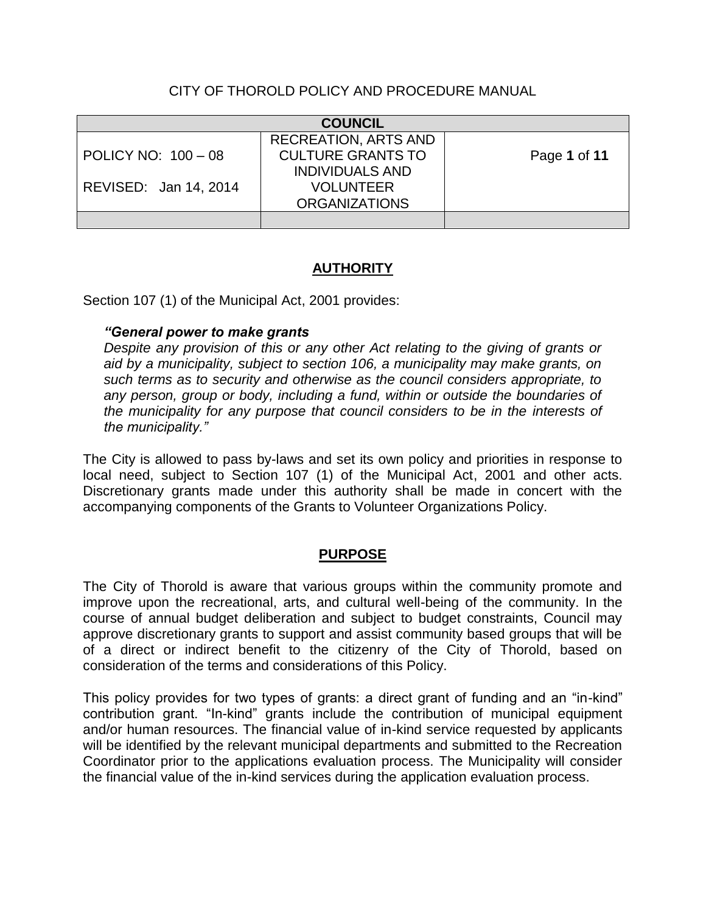# CITY OF THOROLD POLICY AND PROCEDURE MANUAL

| <b>COUNCIL</b>        |                             |              |
|-----------------------|-----------------------------|--------------|
|                       | <b>RECREATION, ARTS AND</b> |              |
| POLICY NO: 100 - 08   | <b>CULTURE GRANTS TO</b>    | Page 1 of 11 |
|                       | <b>INDIVIDUALS AND</b>      |              |
| REVISED: Jan 14, 2014 | <b>VOLUNTEER</b>            |              |
|                       | <b>ORGANIZATIONS</b>        |              |
|                       |                             |              |

# **AUTHORITY**

Section 107 (1) of the Municipal Act, 2001 provides:

### *"General power to make grants*

*Despite any provision of this or any other Act relating to the giving of grants or aid by a municipality, subject to section 106, a municipality may make grants, on such terms as to security and otherwise as the council considers appropriate, to any person, group or body, including a fund, within or outside the boundaries of the municipality for any purpose that council considers to be in the interests of the municipality."*

The City is allowed to pass by-laws and set its own policy and priorities in response to local need, subject to Section 107 (1) of the Municipal Act, 2001 and other acts. Discretionary grants made under this authority shall be made in concert with the accompanying components of the Grants to Volunteer Organizations Policy.

### **PURPOSE**

The City of Thorold is aware that various groups within the community promote and improve upon the recreational, arts, and cultural well-being of the community. In the course of annual budget deliberation and subject to budget constraints, Council may approve discretionary grants to support and assist community based groups that will be of a direct or indirect benefit to the citizenry of the City of Thorold, based on consideration of the terms and considerations of this Policy.

This policy provides for two types of grants: a direct grant of funding and an "in-kind" contribution grant. "In-kind" grants include the contribution of municipal equipment and/or human resources. The financial value of in-kind service requested by applicants will be identified by the relevant municipal departments and submitted to the Recreation Coordinator prior to the applications evaluation process. The Municipality will consider the financial value of the in-kind services during the application evaluation process.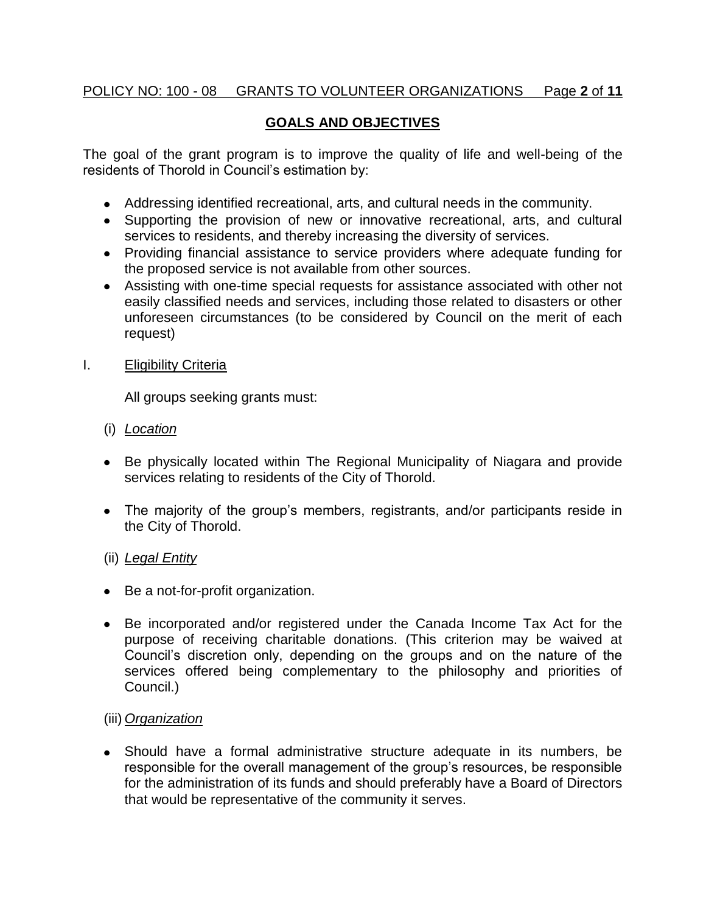# POLICY NO: 100 - 08 GRANTS TO VOLUNTEER ORGANIZATIONS Page **2** of **11**

# **GOALS AND OBJECTIVES**

The goal of the grant program is to improve the quality of life and well-being of the residents of Thorold in Council's estimation by:

- Addressing identified recreational, arts, and cultural needs in the community.
- Supporting the provision of new or innovative recreational, arts, and cultural services to residents, and thereby increasing the diversity of services.
- Providing financial assistance to service providers where adequate funding for the proposed service is not available from other sources.
- Assisting with one-time special requests for assistance associated with other not easily classified needs and services, including those related to disasters or other unforeseen circumstances (to be considered by Council on the merit of each request)

### I. Eligibility Criteria

All groups seeking grants must:

- (i) *Location*
- Be physically located within The Regional Municipality of Niagara and provide services relating to residents of the City of Thorold.
- The majority of the group's members, registrants, and/or participants reside in the City of Thorold.

### (ii) *Legal Entity*

- Be a not-for-profit organization.
- Be incorporated and/or registered under the Canada Income Tax Act for the purpose of receiving charitable donations. (This criterion may be waived at Council's discretion only, depending on the groups and on the nature of the services offered being complementary to the philosophy and priorities of Council.)

### (iii) *Organization*

Should have a formal administrative structure adequate in its numbers, be responsible for the overall management of the group's resources, be responsible for the administration of its funds and should preferably have a Board of Directors that would be representative of the community it serves.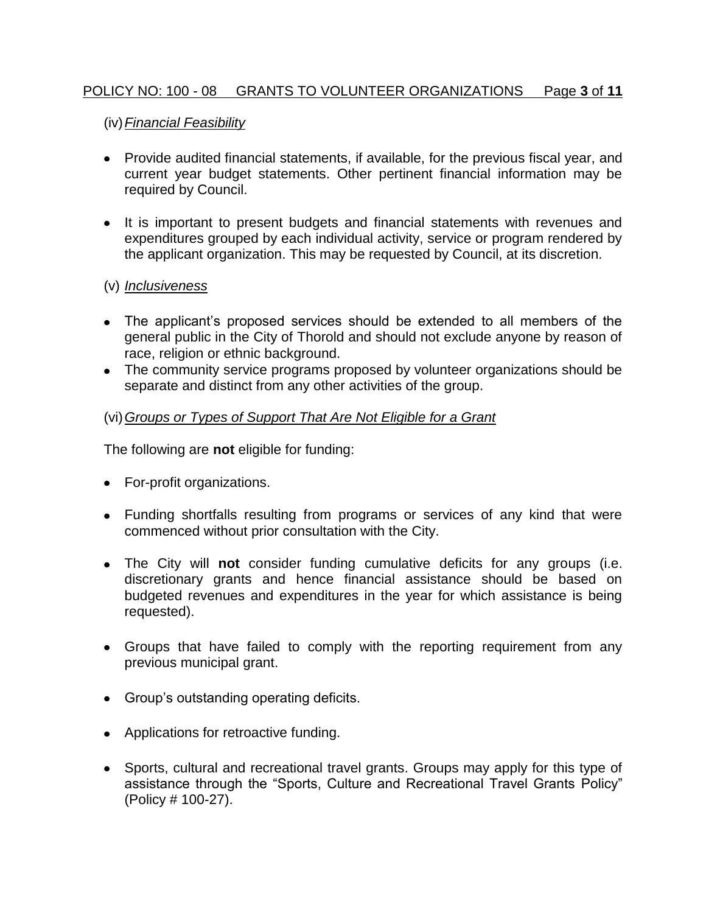# POLICY NO: 100 - 08 GRANTS TO VOLUNTEER ORGANIZATIONS Page **3** of **11**

### (iv)*Financial Feasibility*

- Provide audited financial statements, if available, for the previous fiscal year, and current year budget statements. Other pertinent financial information may be required by Council.
- It is important to present budgets and financial statements with revenues and expenditures grouped by each individual activity, service or program rendered by the applicant organization. This may be requested by Council, at its discretion.

### (v) *Inclusiveness*

- The applicant's proposed services should be extended to all members of the general public in the City of Thorold and should not exclude anyone by reason of race, religion or ethnic background.
- The community service programs proposed by volunteer organizations should be separate and distinct from any other activities of the group.

### (vi)*Groups or Types of Support That Are Not Eligible for a Grant*

The following are **not** eligible for funding:

- For-profit organizations.
- Funding shortfalls resulting from programs or services of any kind that were commenced without prior consultation with the City.
- The City will **not** consider funding cumulative deficits for any groups (i.e. discretionary grants and hence financial assistance should be based on budgeted revenues and expenditures in the year for which assistance is being requested).
- Groups that have failed to comply with the reporting requirement from any previous municipal grant.
- Group's outstanding operating deficits.
- Applications for retroactive funding.
- Sports, cultural and recreational travel grants. Groups may apply for this type of assistance through the "Sports, Culture and Recreational Travel Grants Policy" (Policy # 100-27).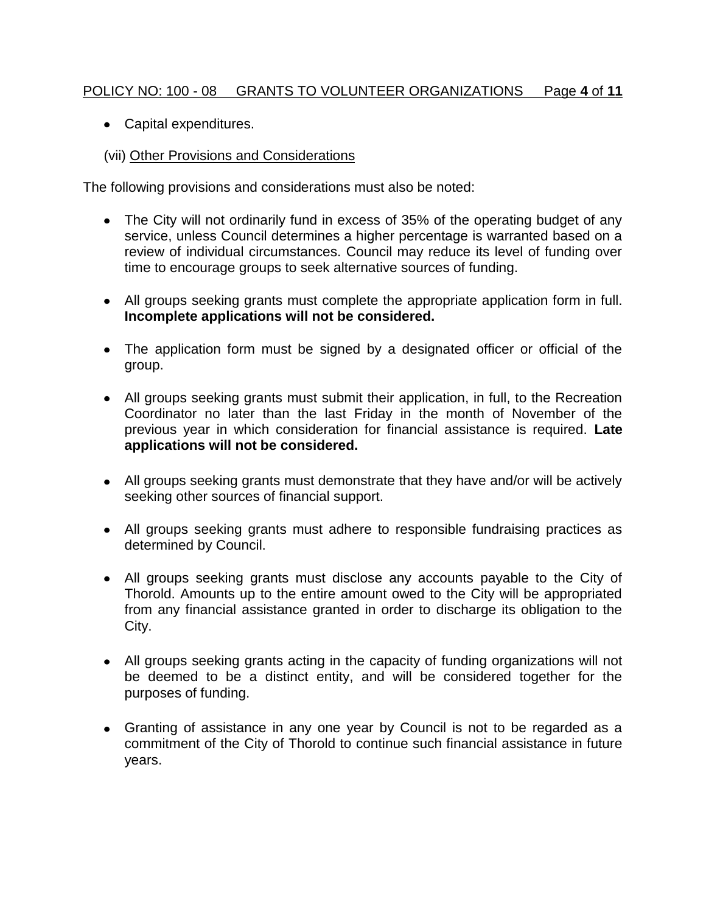# POLICY NO: 100 - 08 GRANTS TO VOLUNTEER ORGANIZATIONS Page **4** of **11**

Capital expenditures.

# (vii) Other Provisions and Considerations

The following provisions and considerations must also be noted:

- The City will not ordinarily fund in excess of 35% of the operating budget of any service, unless Council determines a higher percentage is warranted based on a review of individual circumstances. Council may reduce its level of funding over time to encourage groups to seek alternative sources of funding.
- All groups seeking grants must complete the appropriate application form in full. **Incomplete applications will not be considered.**
- The application form must be signed by a designated officer or official of the group.
- All groups seeking grants must submit their application, in full, to the Recreation Coordinator no later than the last Friday in the month of November of the previous year in which consideration for financial assistance is required. **Late applications will not be considered.**
- All groups seeking grants must demonstrate that they have and/or will be actively seeking other sources of financial support.
- All groups seeking grants must adhere to responsible fundraising practices as determined by Council.
- All groups seeking grants must disclose any accounts payable to the City of Thorold. Amounts up to the entire amount owed to the City will be appropriated from any financial assistance granted in order to discharge its obligation to the City.
- All groups seeking grants acting in the capacity of funding organizations will not be deemed to be a distinct entity, and will be considered together for the purposes of funding.
- Granting of assistance in any one year by Council is not to be regarded as a commitment of the City of Thorold to continue such financial assistance in future years.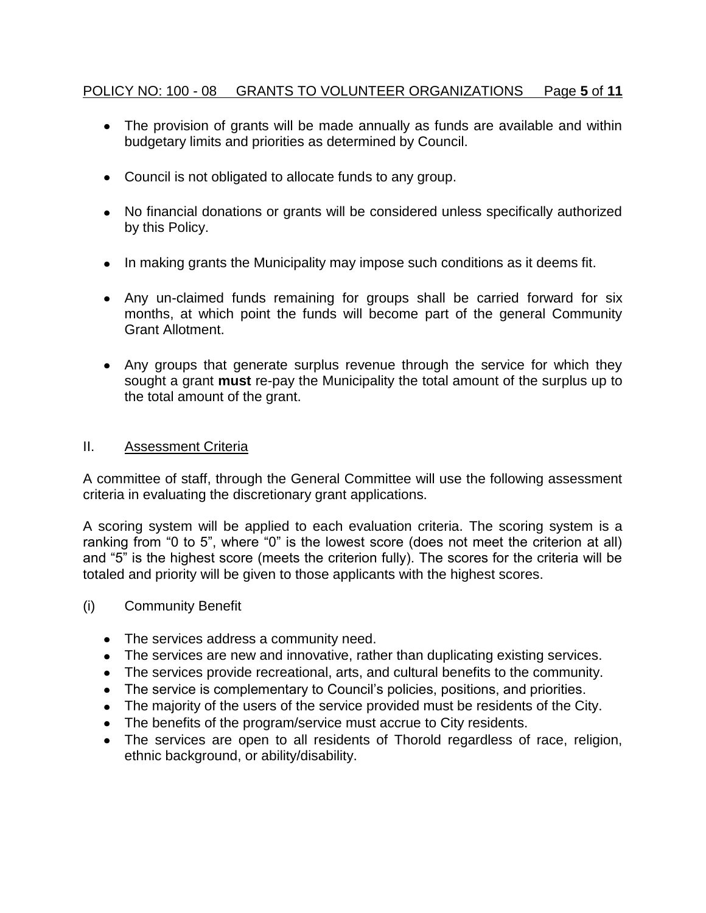# POLICY NO: 100 - 08 GRANTS TO VOLUNTEER ORGANIZATIONS Page **5** of **11**

- The provision of grants will be made annually as funds are available and within budgetary limits and priorities as determined by Council.
- Council is not obligated to allocate funds to any group.
- No financial donations or grants will be considered unless specifically authorized by this Policy.
- In making grants the Municipality may impose such conditions as it deems fit.
- Any un-claimed funds remaining for groups shall be carried forward for six months, at which point the funds will become part of the general Community Grant Allotment.
- Any groups that generate surplus revenue through the service for which they sought a grant **must** re-pay the Municipality the total amount of the surplus up to the total amount of the grant.

### II. Assessment Criteria

A committee of staff, through the General Committee will use the following assessment criteria in evaluating the discretionary grant applications.

A scoring system will be applied to each evaluation criteria. The scoring system is a ranking from "0 to 5", where "0" is the lowest score (does not meet the criterion at all) and "5" is the highest score (meets the criterion fully). The scores for the criteria will be totaled and priority will be given to those applicants with the highest scores.

- (i) Community Benefit
	- The services address a community need.
	- The services are new and innovative, rather than duplicating existing services.
	- The services provide recreational, arts, and cultural benefits to the community.
	- The service is complementary to Council's policies, positions, and priorities.
	- The majority of the users of the service provided must be residents of the City.
	- The benefits of the program/service must accrue to City residents.
	- The services are open to all residents of Thorold regardless of race, religion, ethnic background, or ability/disability.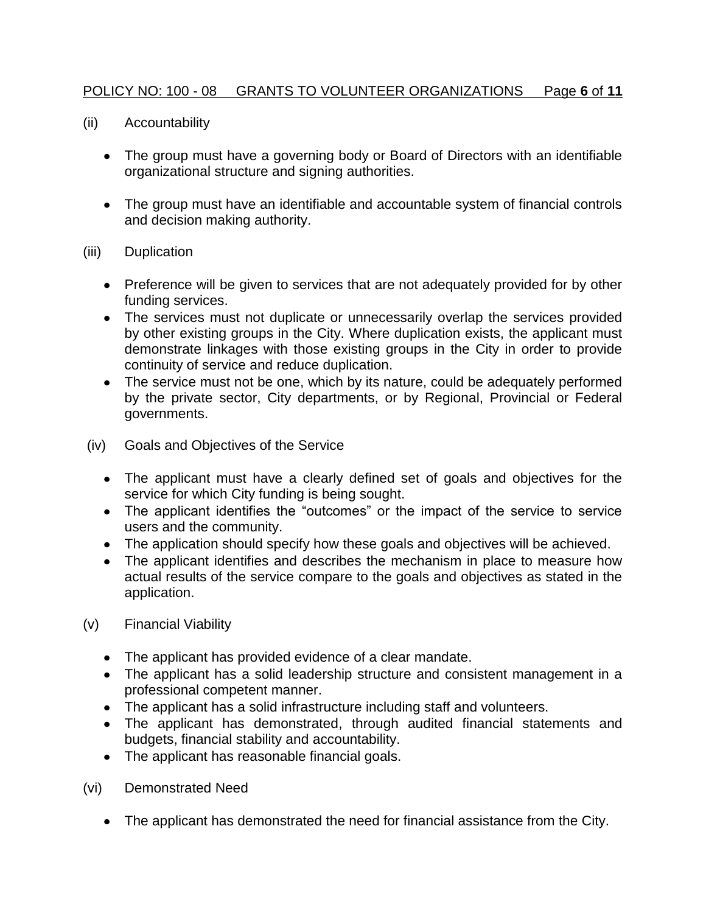# POLICY NO: 100 - 08 GRANTS TO VOLUNTEER ORGANIZATIONS Page **6** of **11**

- (ii) Accountability
	- The group must have a governing body or Board of Directors with an identifiable organizational structure and signing authorities.
	- The group must have an identifiable and accountable system of financial controls and decision making authority.
- (iii) Duplication
	- Preference will be given to services that are not adequately provided for by other funding services.
	- The services must not duplicate or unnecessarily overlap the services provided by other existing groups in the City. Where duplication exists, the applicant must demonstrate linkages with those existing groups in the City in order to provide continuity of service and reduce duplication.
	- The service must not be one, which by its nature, could be adequately performed by the private sector, City departments, or by Regional, Provincial or Federal governments.
- (iv) Goals and Objectives of the Service
	- The applicant must have a clearly defined set of goals and objectives for the service for which City funding is being sought.
	- The applicant identifies the "outcomes" or the impact of the service to service users and the community.
	- The application should specify how these goals and objectives will be achieved.
	- The applicant identifies and describes the mechanism in place to measure how actual results of the service compare to the goals and objectives as stated in the application.
- (v) Financial Viability
	- The applicant has provided evidence of a clear mandate.
	- The applicant has a solid leadership structure and consistent management in a professional competent manner.
	- The applicant has a solid infrastructure including staff and volunteers.
	- The applicant has demonstrated, through audited financial statements and budgets, financial stability and accountability.
	- The applicant has reasonable financial goals.
- (vi) Demonstrated Need
	- The applicant has demonstrated the need for financial assistance from the City.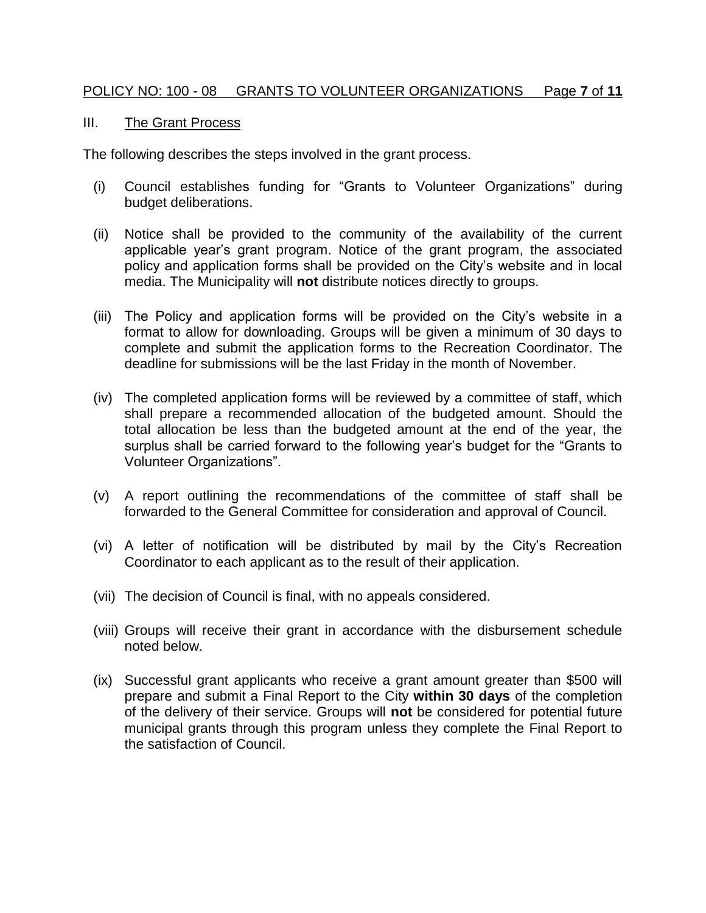#### POLICY NO: 100 - 08 GRANTS TO VOLUNTEER ORGANIZATIONS Page **7** of **11**

#### III. The Grant Process

The following describes the steps involved in the grant process.

- (i) Council establishes funding for "Grants to Volunteer Organizations" during budget deliberations.
- (ii) Notice shall be provided to the community of the availability of the current applicable year's grant program. Notice of the grant program, the associated policy and application forms shall be provided on the City's website and in local media. The Municipality will **not** distribute notices directly to groups.
- (iii) The Policy and application forms will be provided on the City's website in a format to allow for downloading. Groups will be given a minimum of 30 days to complete and submit the application forms to the Recreation Coordinator. The deadline for submissions will be the last Friday in the month of November.
- (iv) The completed application forms will be reviewed by a committee of staff, which shall prepare a recommended allocation of the budgeted amount. Should the total allocation be less than the budgeted amount at the end of the year, the surplus shall be carried forward to the following year's budget for the "Grants to Volunteer Organizations".
- (v) A report outlining the recommendations of the committee of staff shall be forwarded to the General Committee for consideration and approval of Council.
- (vi) A letter of notification will be distributed by mail by the City's Recreation Coordinator to each applicant as to the result of their application.
- (vii) The decision of Council is final, with no appeals considered.
- (viii) Groups will receive their grant in accordance with the disbursement schedule noted below.
- (ix) Successful grant applicants who receive a grant amount greater than \$500 will prepare and submit a Final Report to the City **within 30 days** of the completion of the delivery of their service. Groups will **not** be considered for potential future municipal grants through this program unless they complete the Final Report to the satisfaction of Council.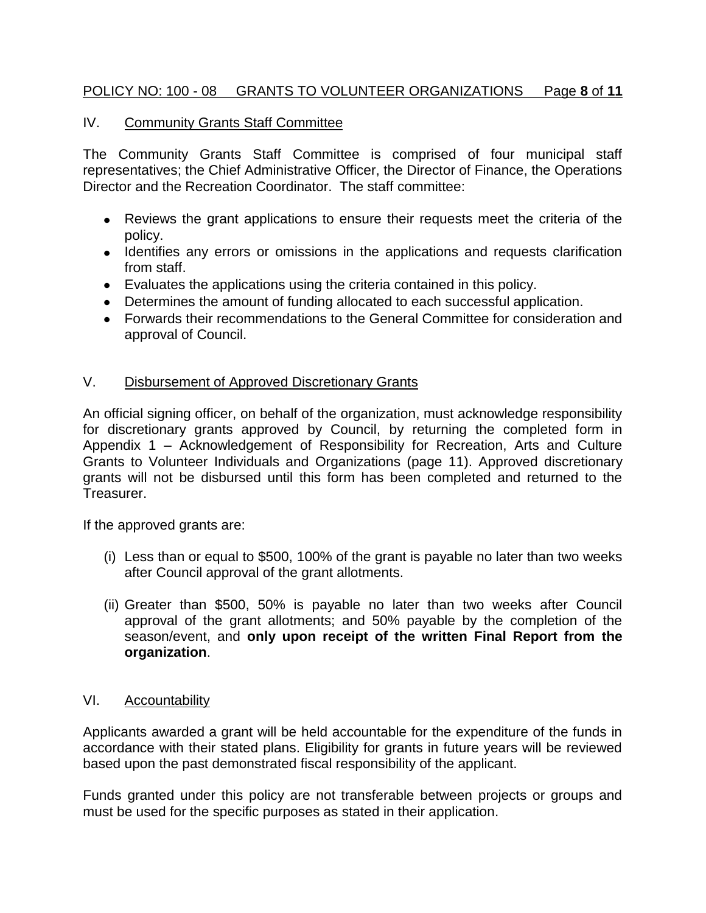## POLICY NO: 100 - 08 GRANTS TO VOLUNTEER ORGANIZATIONS Page **8** of **11**

#### IV. Community Grants Staff Committee

The Community Grants Staff Committee is comprised of four municipal staff representatives; the Chief Administrative Officer, the Director of Finance, the Operations Director and the Recreation Coordinator. The staff committee:

- Reviews the grant applications to ensure their requests meet the criteria of the policy.
- Identifies any errors or omissions in the applications and requests clarification from staff.
- Evaluates the applications using the criteria contained in this policy.
- Determines the amount of funding allocated to each successful application.
- Forwards their recommendations to the General Committee for consideration and approval of Council.

#### V. Disbursement of Approved Discretionary Grants

An official signing officer, on behalf of the organization, must acknowledge responsibility for discretionary grants approved by Council, by returning the completed form in Appendix 1 – Acknowledgement of Responsibility for Recreation, Arts and Culture Grants to Volunteer Individuals and Organizations (page 11). Approved discretionary grants will not be disbursed until this form has been completed and returned to the Treasurer.

If the approved grants are:

- (i) Less than or equal to \$500, 100% of the grant is payable no later than two weeks after Council approval of the grant allotments.
- (ii) Greater than \$500, 50% is payable no later than two weeks after Council approval of the grant allotments; and 50% payable by the completion of the season/event, and **only upon receipt of the written Final Report from the organization**.

#### VI. Accountability

Applicants awarded a grant will be held accountable for the expenditure of the funds in accordance with their stated plans. Eligibility for grants in future years will be reviewed based upon the past demonstrated fiscal responsibility of the applicant.

Funds granted under this policy are not transferable between projects or groups and must be used for the specific purposes as stated in their application.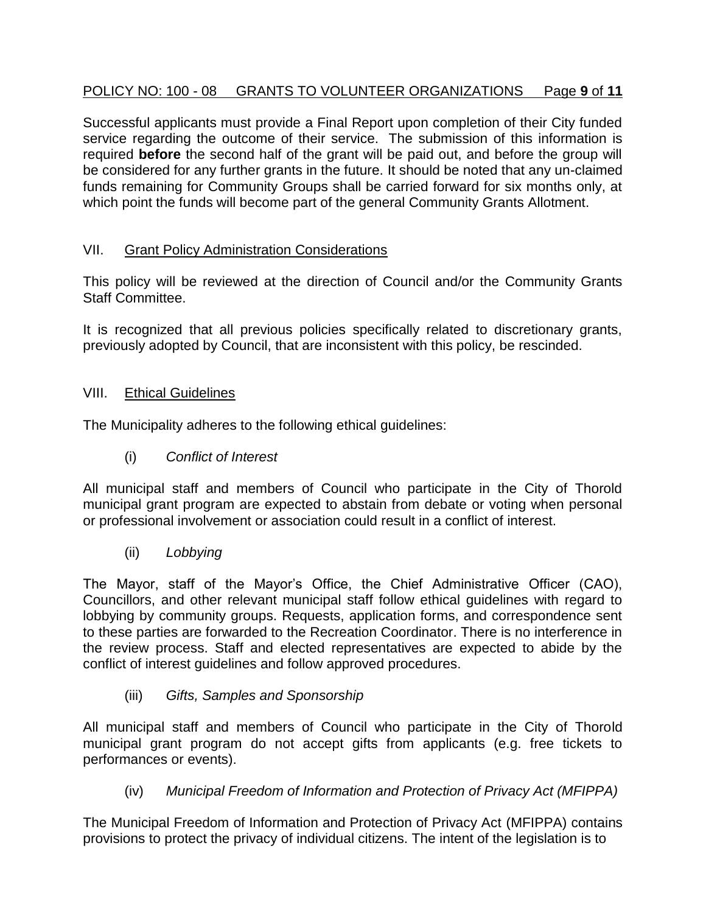# POLICY NO: 100 - 08 GRANTS TO VOLUNTEER ORGANIZATIONS Page **9** of **11**

Successful applicants must provide a Final Report upon completion of their City funded service regarding the outcome of their service. The submission of this information is required **before** the second half of the grant will be paid out, and before the group will be considered for any further grants in the future. It should be noted that any un-claimed funds remaining for Community Groups shall be carried forward for six months only, at which point the funds will become part of the general Community Grants Allotment.

# VII. Grant Policy Administration Considerations

This policy will be reviewed at the direction of Council and/or the Community Grants Staff Committee.

It is recognized that all previous policies specifically related to discretionary grants, previously adopted by Council, that are inconsistent with this policy, be rescinded.

# VIII. Ethical Guidelines

The Municipality adheres to the following ethical guidelines:

(i) *Conflict of Interest*

All municipal staff and members of Council who participate in the City of Thorold municipal grant program are expected to abstain from debate or voting when personal or professional involvement or association could result in a conflict of interest.

(ii) *Lobbying*

The Mayor, staff of the Mayor's Office, the Chief Administrative Officer (CAO), Councillors, and other relevant municipal staff follow ethical guidelines with regard to lobbying by community groups. Requests, application forms, and correspondence sent to these parties are forwarded to the Recreation Coordinator. There is no interference in the review process. Staff and elected representatives are expected to abide by the conflict of interest guidelines and follow approved procedures.

(iii) *Gifts, Samples and Sponsorship*

All municipal staff and members of Council who participate in the City of Thorold municipal grant program do not accept gifts from applicants (e.g. free tickets to performances or events).

(iv) *Municipal Freedom of Information and Protection of Privacy Act (MFIPPA)*

The Municipal Freedom of Information and Protection of Privacy Act (MFIPPA) contains provisions to protect the privacy of individual citizens. The intent of the legislation is to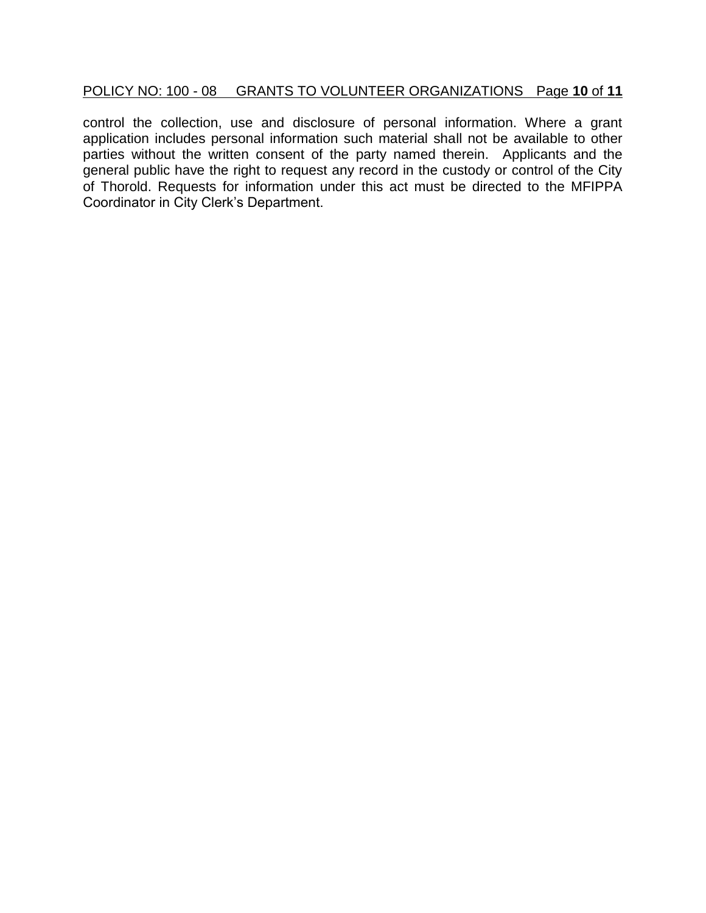# POLICY NO: 100 - 08 GRANTS TO VOLUNTEER ORGANIZATIONS Page **10** of **11**

control the collection, use and disclosure of personal information. Where a grant application includes personal information such material shall not be available to other parties without the written consent of the party named therein. Applicants and the general public have the right to request any record in the custody or control of the City of Thorold. Requests for information under this act must be directed to the MFIPPA Coordinator in City Clerk's Department.